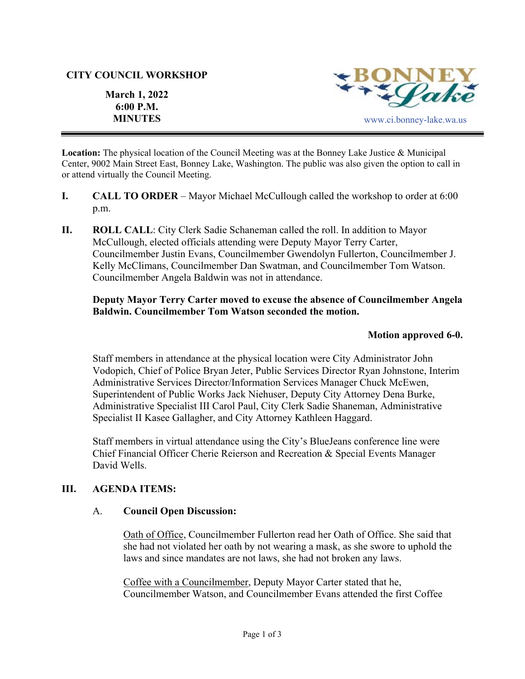### **CITY COUNCIL WORKSHOP**

**6:00 P.M.** 

**March 1, 2022** 



**Location:** The physical location of the Council Meeting was at the Bonney Lake Justice & Municipal Center, 9002 Main Street East, Bonney Lake, Washington. The public was also given the option to call in or attend virtually the Council Meeting.

- **I. CALL TO ORDER**  Mayor Michael McCullough called the workshop to order at 6:00 p.m.
- **II.** ROLL CALL: City Clerk Sadie Schaneman called the roll. In addition to Mayor McCullough, elected officials attending were Deputy Mayor Terry Carter, Councilmember Justin Evans, Councilmember Gwendolyn Fullerton, Councilmember J. Kelly McClimans, Councilmember Dan Swatman, and Councilmember Tom Watson. Councilmember Angela Baldwin was not in attendance.

# **Deputy Mayor Terry Carter moved to excuse the absence of Councilmember Angela Baldwin. Councilmember Tom Watson seconded the motion.**

## **Motion approved 6-0.**

Staff members in attendance at the physical location were City Administrator John Vodopich, Chief of Police Bryan Jeter, Public Services Director Ryan Johnstone, Interim Administrative Services Director/Information Services Manager Chuck McEwen, Superintendent of Public Works Jack Niehuser, Deputy City Attorney Dena Burke, Administrative Specialist III Carol Paul, City Clerk Sadie Shaneman, Administrative Specialist II Kasee Gallagher, and City Attorney Kathleen Haggard.

Staff members in virtual attendance using the City's BlueJeans conference line were Chief Financial Officer Cherie Reierson and Recreation & Special Events Manager David Wells.

## **III. AGENDA ITEMS:**

### A. **Council Open Discussion:**

Oath of Office, Councilmember Fullerton read her Oath of Office. She said that she had not violated her oath by not wearing a mask, as she swore to uphold the laws and since mandates are not laws, she had not broken any laws.

Coffee with a Councilmember, Deputy Mayor Carter stated that he, Councilmember Watson, and Councilmember Evans attended the first Coffee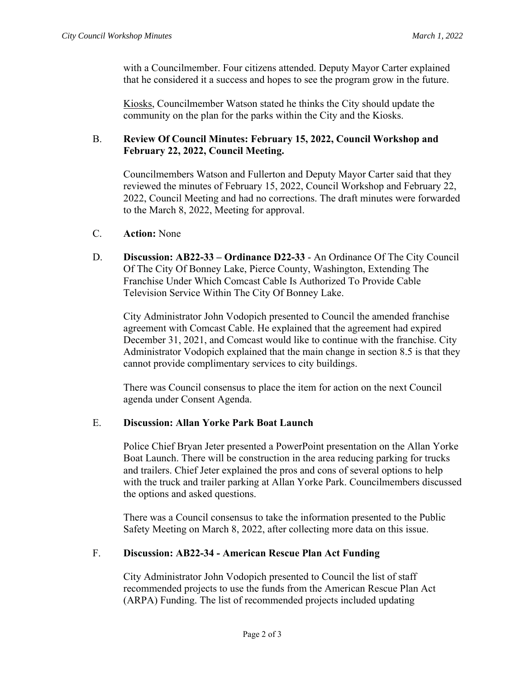with a Councilmember. Four citizens attended. Deputy Mayor Carter explained that he considered it a success and hopes to see the program grow in the future.

Kiosks, Councilmember Watson stated he thinks the City should update the community on the plan for the parks within the City and the Kiosks.

## B. **Review Of Council Minutes: February 15, 2022, Council Workshop and February 22, 2022, Council Meeting.**

Councilmembers Watson and Fullerton and Deputy Mayor Carter said that they reviewed the minutes of February 15, 2022, Council Workshop and February 22, 2022, Council Meeting and had no corrections. The draft minutes were forwarded to the March 8, 2022, Meeting for approval.

- C. **Action:** None
- D. **Discussion: AB22-33 Ordinance D22-33**  An Ordinance Of The City Council Of The City Of Bonney Lake, Pierce County, Washington, Extending The Franchise Under Which Comcast Cable Is Authorized To Provide Cable Television Service Within The City Of Bonney Lake.

City Administrator John Vodopich presented to Council the amended franchise agreement with Comcast Cable. He explained that the agreement had expired December 31, 2021, and Comcast would like to continue with the franchise. City Administrator Vodopich explained that the main change in section 8.5 is that they cannot provide complimentary services to city buildings.

There was Council consensus to place the item for action on the next Council agenda under Consent Agenda.

### E. **Discussion: Allan Yorke Park Boat Launch**

Police Chief Bryan Jeter presented a PowerPoint presentation on the Allan Yorke Boat Launch. There will be construction in the area reducing parking for trucks and trailers. Chief Jeter explained the pros and cons of several options to help with the truck and trailer parking at Allan Yorke Park. Councilmembers discussed the options and asked questions.

There was a Council consensus to take the information presented to the Public Safety Meeting on March 8, 2022, after collecting more data on this issue.

### F. **Discussion: AB22-34 - American Rescue Plan Act Funding**

City Administrator John Vodopich presented to Council the list of staff recommended projects to use the funds from the American Rescue Plan Act (ARPA) Funding. The list of recommended projects included updating